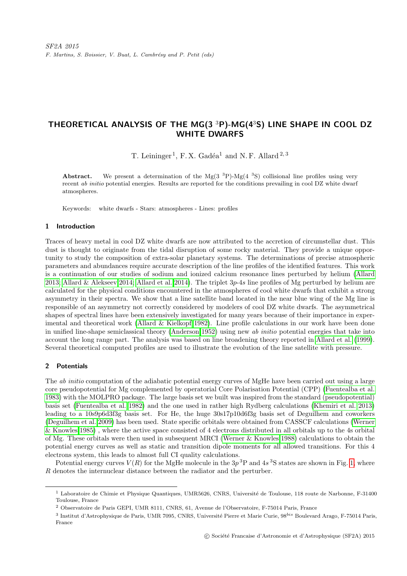# THEORETICAL ANALYSIS OF THE MG( $3^{3}P$ )-MG( $4^{3}S$ ) LINE SHAPE IN COOL DZ WHITE DWARFS

T. Leininger<sup>1</sup>, F.X. Gadéa<sup>1</sup> and N.F. Allard<sup>2,3</sup>

**Abstract.** We present a determination of the Mg(3<sup>3</sup>P)-Mg(4<sup>3</sup>S) collisional line profiles using very recent *ab initio* potential energies. Results are reported for the conditions prevailing in cool DZ white dwarf atmospheres.

Keywords: white dwarfs - Stars: atmospheres - Lines: profiles

## 1 Introduction

Traces of heavy metal in cool DZ white dwarfs are now attributed to the accretion of circumstellar dust. This dust is thought to originate from the tidal disruption of some rocky material. They provide a unique opportunity to study the composition of extra-solar planetary systems. The determinations of precise atmospheric parameters and abundances require accurate description of the line profiles of the identified features. This work is a continuation of our studies of sodium and ionized calcium resonance lines perturbed by helium [\(Allard](#page-2-0) [2013;](#page-2-0) [Allard & Alekseev 2014;](#page-2-1) [Allard et al. 2014\)](#page-2-2). The triplet 3p-4s line profiles of Mg perturbed by helium are calculated for the physical conditions encountered in the atmospheres of cool white dwarfs that exhibit a strong asymmetry in their spectra. We show that a line satellite band located in the near blue wing of the Mg line is responsible of an asymmetry not correctly considered by modelers of cool DZ white dwarfs. The asymmetrical shapes of spectral lines have been extensively investigated for many years because of their importance in experimental and theoretical work [\(Allard & Kielkopf 1982\)](#page-2-3). Line profile calculations in our work have been done in unified line-shape semiclassical theory [\(Anderson 1952\)](#page-2-4) using new ab initio potential energies that take into account the long range part. The analysis was based on line broadening theory reported in [Allard et al.](#page-2-5) [\(1999\)](#page-2-5). Several theoretical computed profiles are used to illustrate the evolution of the line satellite with pressure.

## 2 Potentials

The *ab initio* computation of the adiabatic potential energy curves of MgHe have been carried out using a large core pseudopotential for Mg complemented by operatorial Core Polarisation Potential (CPP) [\(Fuentealba et al.](#page-2-6) [1983\)](#page-2-6) with the MOLPRO package. The large basis set we built was inspired from the standard (pseudopotential) basis set [\(Fuentealba et al. 1982\)](#page-2-7) and the one used in rather high Rydberg calculations [\(Khemiri et al. 2013\)](#page-2-8) leading to a 10s9p6d3f3g basis set. For He, the huge 30s17p10d6f3g basis set of Deguilhem and coworkers [\(Deguilhem et al. 2009\)](#page-2-9) has been used. State specific orbitals were obtained from CASSCF calculations [\(Werner](#page-2-10) [& Knowles 1985\)](#page-2-10) , where the active space consisted of 4 electrons distributed in all orbitals up to the 4s orbital of Mg. These orbitals were then used in subsequent MRCI [\(Werner & Knowles 1988\)](#page-2-11) calculations to obtain the potential energy curves as well as static and transition dipole moments for all allowed transitions. For this 4 electrons system, this leads to almost full CI quality calculations.

Potential energy curves  $V(R)$  for the MgHe molecule in the  $3p<sup>3</sup>P$  and  $4s<sup>3</sup>S$  states are shown in Fig. [1,](#page-1-0) where R denotes the internuclear distance between the radiator and the perturber.

<sup>&</sup>lt;sup>1</sup> Laboratoire de Chimie et Physique Quantiques, UMR5626, CNRS, Université de Toulouse, 118 route de Narbonne, F-31400 Toulouse, France

<sup>2</sup> Observatoire de Paris GEPI, UMR 8111, CNRS, 61, Avenue de l'Observatoire, F-75014 Paris, France

 $^3$  Institut d'Astrophysique de Paris, UMR 7095, CNRS, Université Pierre et Marie Curie, 98 $^{bis}$  Boulevard Arago, F-75014 Paris, France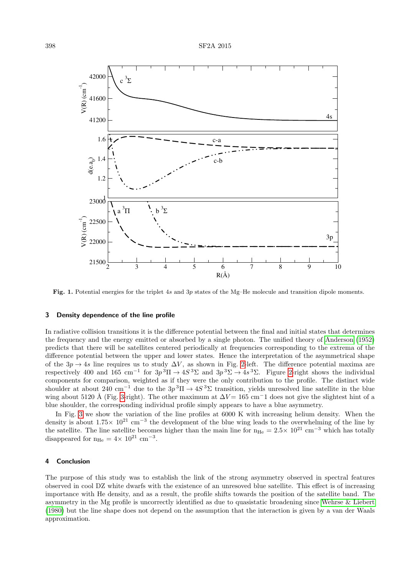

<span id="page-1-0"></span>Fig. 1. Potential energies for the triplet 4s and 3p states of the Mg–He molecule and transition dipole moments.

#### 3 Density dependence of the line profile

In radiative collision transitions it is the difference potential between the final and initial states that determines the frequency and the energy emitted or absorbed by a single photon. The unified theory of [Anderson](#page-2-4) [\(1952\)](#page-2-4) predicts that there will be satellites centered periodically at frequencies corresponding to the extrema of the difference potential between the upper and lower states. Hence the interpretation of the asymmetrical shape of the  $3p \rightarrow 4s$  line requires us to study  $\Delta V$ , as shown in Fig. [2-](#page-2-12)left. The difference potential maxima are respectively 400 and 165 cm<sup>-1</sup> for  $3p^3\Pi \to 4S^3\Sigma$  and  $3p^3\Sigma \to 4s^3\Sigma$ . Figure [2-](#page-2-12)right shows the individual components for comparison, weighted as if they were the only contribution to the profile. The distinct wide shoulder at about 240 cm<sup>-1</sup> due to the  $3p^3\Pi \to 4S^3\Sigma$  transition, yields unresolved line satellite in the blue wing about 5120 Å (Fig. [3-](#page-2-13)right). The other maximum at  $\Delta V = 165$  cm<sup>-</sup>1 does not give the slightest hint of a blue shoulder, the corresponding individual profile simply appears to have a blue asymmetry.

In Fig. [3](#page-2-13) we show the variation of the line profiles at 6000 K with increasing helium density. When the density is about  $1.75\times 10^{21}$  cm<sup>-3</sup> the development of the blue wing leads to the overwhelming of the line by the satellite. The line satellite becomes higher than the main line for  $n_{He} = 2.5 \times 10^{21}$  cm<sup>-3</sup> which has totally disappeared for  $n_{\text{He}} = 4 \times 10^{21} \text{ cm}^{-3}$ .

#### 4 Conclusion

The purpose of this study was to establish the link of the strong asymmetry observed in spectral features observed in cool DZ white dwarfs with the existence of an unresoved blue satellite. This effect is of increasing importance with He density, and as a result, the profile shifts towards the position of the satellite band. The asymmetry in the Mg profile is uncorrectly identified as due to quasistatic broadening since [Wehrse & Liebert](#page-2-14) [\(1980\)](#page-2-14) but the line shape does not depend on the assumption that the interaction is given by a van der Waals approximation.